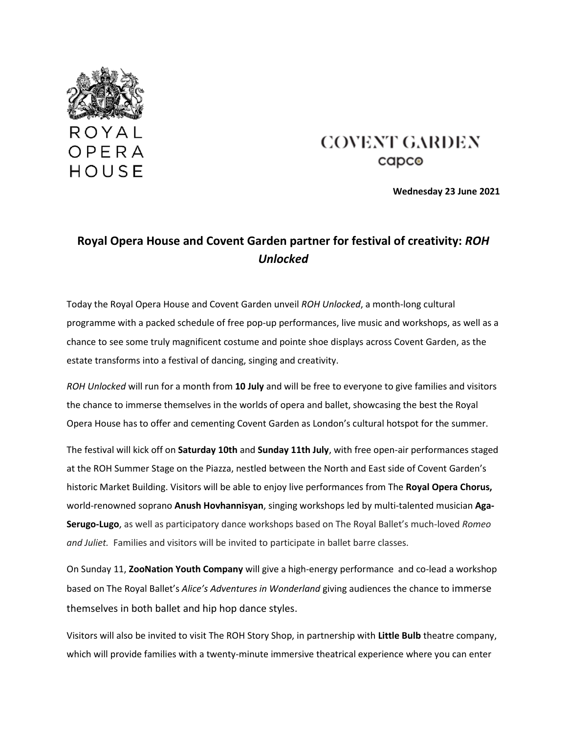

# **COVENT GARDEN** capco

**Wednesday 23 June 2021**

# **Royal Opera House and Covent Garden partner for festival of creativity:** *ROH Unlocked*

Today the Royal Opera House and Covent Garden unveil *ROH Unlocked*, a month-long cultural programme with a packed schedule of free pop-up performances, live music and workshops, as well as a chance to see some truly magnificent costume and pointe shoe displays across Covent Garden, as the estate transforms into a festival of dancing, singing and creativity.

*ROH Unlocked* will run for a month from **10 July** and will be free to everyone to give families and visitors the chance to immerse themselves in the worlds of opera and ballet, showcasing the best the Royal Opera House has to offer and cementing Covent Garden as London's cultural hotspot for the summer.

The festival will kick off on **Saturday 10th** and **Sunday 11th July**, with free open-air performances staged at the ROH Summer Stage on the Piazza, nestled between the North and East side of Covent Garden's historic Market Building. Visitors will be able to enjoy live performances from The **Royal Opera Chorus,** world-renowned soprano **Anush Hovhannisyan**, singing workshops led by multi-talented musician **Aga-Serugo-Lugo**, as well as participatory dance workshops based on The Royal Ballet's much-loved *Romeo and Juliet.* Families and visitors will be invited to participate in ballet barre classes.

On Sunday 11, **ZooNation Youth Company** will give a high-energy performance and co-lead a workshop based on The Royal Ballet's *Alice's Adventures in Wonderland* giving audiences the chance to immerse themselves in both ballet and hip hop dance styles.

Visitors will also be invited to visit The ROH Story Shop, in partnership with **Little Bulb** theatre company, which will provide families with a twenty-minute immersive theatrical experience where you can enter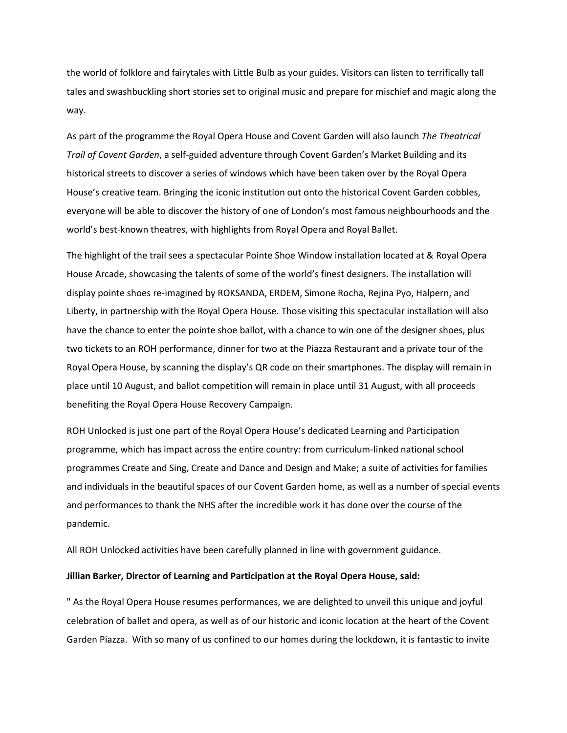the world of folklore and fairytales with Little Bulb as your guides. Visitors can listen to terrifically tall tales and swashbuckling short stories set to original music and prepare for mischief and magic along the way.

As part of the programme the Royal Opera House and Covent Garden will also launch *The Theatrical Trail of Covent Garden*, a self-guided adventure through Covent Garden's Market Building and its historical streets to discover a series of windows which have been taken over by the Royal Opera House's creative team. Bringing the iconic institution out onto the historical Covent Garden cobbles, everyone will be able to discover the history of one of London's most famous neighbourhoods and the world's best-known theatres, with highlights from Royal Opera and Royal Ballet.

The highlight of the trail sees a spectacular Pointe Shoe Window installation located at & Royal Opera House Arcade, showcasing the talents of some of the world's finest designers. The installation will display pointe shoes re-imagined by ROKSANDA, ERDEM, Simone Rocha, Rejina Pyo, Halpern, and Liberty, in partnership with the Royal Opera House. Those visiting this spectacular installation will also have the chance to enter the pointe shoe ballot, with a chance to win one of the designer shoes, plus two tickets to an ROH performance, dinner for two at the Piazza Restaurant and a private tour of the Royal Opera House, by scanning the display's QR code on their smartphones. The display will remain in place until 10 August, and ballot competition will remain in place until 31 August, with all proceeds benefiting the Royal Opera House Recovery Campaign.

ROH Unlocked is just one part of the Royal Opera House's dedicated Learning and Participation programme, which has impact across the entire country: from curriculum-linked national school programmes Create and Sing, Create and Dance and Design and Make; a suite of activities for families and individuals in the beautiful spaces of our Covent Garden home, as well as a number of special events and performances to thank the NHS after the incredible work it has done over the course of the pandemic.

All ROH Unlocked activities have been carefully planned in line with government guidance.

## **Jillian Barker, Director of Learning and Participation at the Royal Opera House, said:**

" As the Royal Opera House resumes performances, we are delighted to unveil this unique and joyful celebration of ballet and opera, as well as of our historic and iconic location at the heart of the Covent Garden Piazza. With so many of us confined to our homes during the lockdown, it is fantastic to invite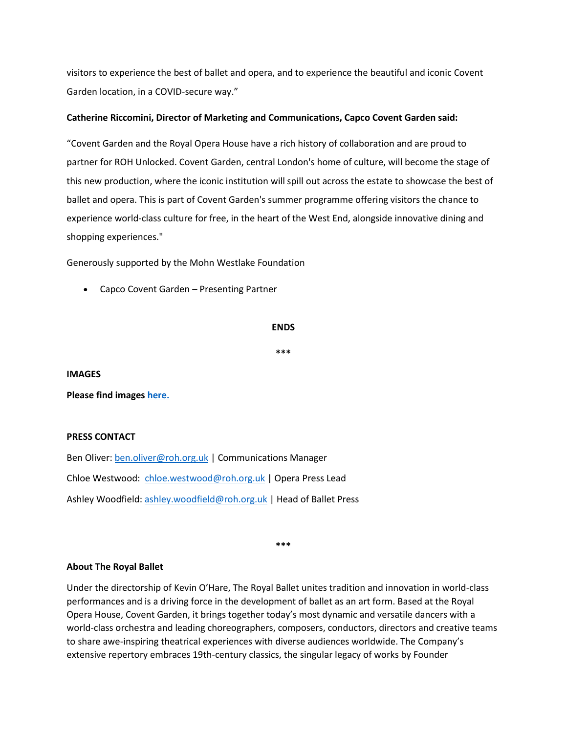visitors to experience the best of ballet and opera, and to experience the beautiful and iconic Covent Garden location, in a COVID-secure way."

## **Catherine Riccomini, Director of Marketing and Communications, Capco Covent Garden said:**

"Covent Garden and the Royal Opera House have a rich history of collaboration and are proud to partner for ROH Unlocked. Covent Garden, central London's home of culture, will become the stage of this new production, where the iconic institution will spill out across the estate to showcase the best of ballet and opera. This is part of Covent Garden's summer programme offering visitors the chance to experience world-class culture for free, in the heart of the West End, alongside innovative dining and shopping experiences."

Generously supported by the Mohn Westlake Foundation

Capco Covent Garden – Presenting Partner

### **ENDS**

**\*\*\***

## **IMAGES**

## **Please find images [here.](https://we.tl/t-Oi91wuqpFZ)**

## **PRESS CONTACT**

Ben Oliver: [ben.oliver@roh.org.uk](mailto:ben.oliver@roh.org.uk) | Communications Manager Chloe Westwood: [chloe.westwood@roh.org.uk](mailto:chloe.westood@roh.org.uk) | Opera Press Lead Ashley Woodfield: [ashley.woodfield@roh.org.uk](mailto:ashley.woodfield@roh.org.uk) | Head of Ballet Press

#### **\*\*\***

## **About The Royal Ballet**

Under the directorship of Kevin O'Hare, The Royal Ballet unites tradition and innovation in world-class performances and is a driving force in the development of ballet as an art form. Based at the Royal Opera House, Covent Garden, it brings together today's most dynamic and versatile dancers with a world-class orchestra and leading choreographers, composers, conductors, directors and creative teams to share awe-inspiring theatrical experiences with diverse audiences worldwide. The Company's extensive repertory embraces 19th-century classics, the singular legacy of works by Founder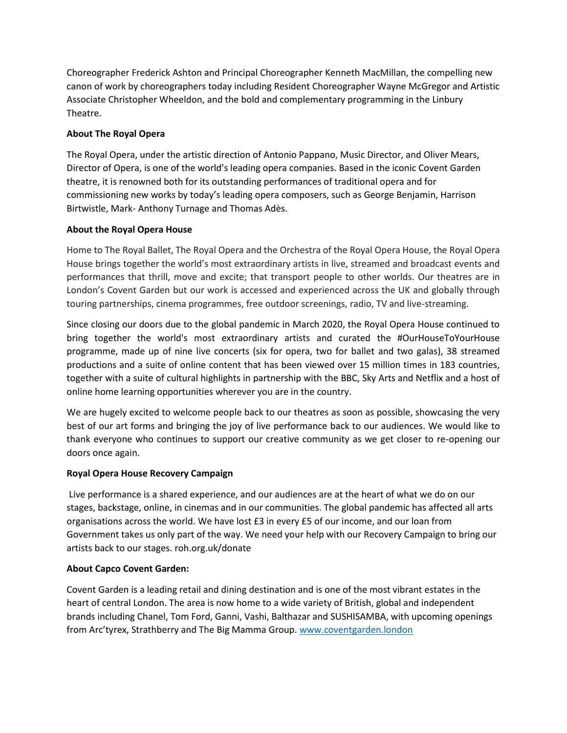Choreographer Frederick Ashton and Principal Choreographer Kenneth MacMillan, the compelling new canon of work by choreographers today including Resident Choreographer Wayne McGregor and Artistic Associate Christopher Wheeldon, and the bold and complementary programming in the Linbury Theatre.

# **About The Royal Opera**

The Royal Opera, under the artistic direction of Antonio Pappano, Music Director, and Oliver Mears, Director of Opera, is one of the world's leading opera companies. Based in the iconic Covent Garden theatre, it is renowned both for its outstanding performances of traditional opera and for commissioning new works by today's leading opera composers, such as George Benjamin, Harrison Birtwistle, Mark- Anthony Turnage and Thomas Adès.

# **About the Royal Opera House**

Home to The Royal Ballet, The Royal Opera and the Orchestra of the Royal Opera House, the Royal Opera House brings together the world's most extraordinary artists in live, streamed and broadcast events and performances that thrill, move and excite; that transport people to other worlds. Our theatres are in London's Covent Garden but our work is accessed and experienced across the UK and globally through touring partnerships, cinema programmes, free outdoor screenings, radio, TV and live-streaming.

Since closing our doors due to the global pandemic in March 2020, the Royal Opera House continued to bring together the world's most extraordinary artists and curated the #OurHouseToYourHouse programme, made up of nine live concerts (six for opera, two for ballet and two galas), 38 streamed productions and a suite of online content that has been viewed over 15 million times in 183 countries, together with a suite of cultural highlights in partnership with the BBC, Sky Arts and Netflix and a host of online home learning opportunities wherever you are in the country.

We are hugely excited to welcome people back to our theatres as soon as possible, showcasing the very best of our art forms and bringing the joy of live performance back to our audiences. We would like to thank everyone who continues to support our creative community as we get closer to re-opening our doors once again.

# **Royal Opera House Recovery Campaign**

Live performance is a shared experience, and our audiences are at the heart of what we do on our stages, backstage, online, in cinemas and in our communities. The global pandemic has affected all arts organisations across the world. We have lost £3 in every £5 of our income, and our loan from Government takes us only part of the way. We need your help with our Recovery Campaign to bring our artists back to our stages. roh.org.uk/donate

# **About Capco Covent Garden:**

Covent Garden is a leading retail and dining destination and is one of the most vibrant estates in the heart of central London. The area is now home to a wide variety of British, global and independent brands including Chanel, Tom Ford, Ganni, Vashi, Balthazar and SUSHISAMBA, with upcoming openings from Arc'tyrex, Strathberry and The Big Mamma Group. www.coventgarden.london